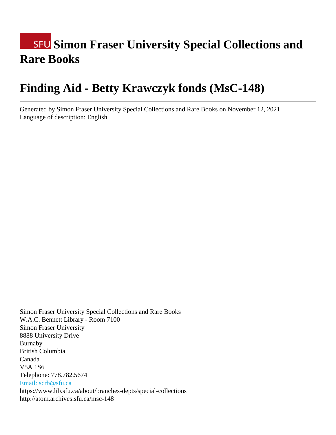# **SFU Simon Fraser University Special Collections and Rare Books**

# **Finding Aid - Betty Krawczyk fonds (MsC-148)**

Generated by Simon Fraser University Special Collections and Rare Books on November 12, 2021 Language of description: English

Simon Fraser University Special Collections and Rare Books W.A.C. Bennett Library - Room 7100 Simon Fraser University 8888 University Drive Burnaby British Columbia Canada V5A 1S6 Telephone: 778.782.5674 [Email: scrb@sfu.ca](mailto:Email: scrb@sfu.ca) https://www.lib.sfu.ca/about/branches-depts/special-collections http://atom.archives.sfu.ca/msc-148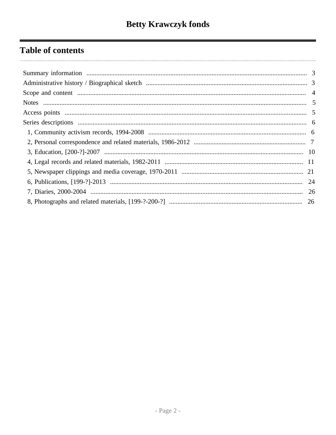## **Table of contents**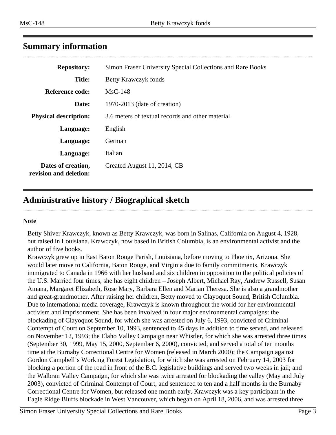### <span id="page-2-0"></span>**Summary information**

| <b>Repository:</b>                           | Simon Fraser University Special Collections and Rare Books |
|----------------------------------------------|------------------------------------------------------------|
| <b>Title:</b>                                | Betty Krawczyk fonds                                       |
| Reference code:                              | $MsC-148$                                                  |
| Date:                                        | $1970-2013$ (date of creation)                             |
| <b>Physical description:</b>                 | 3.6 meters of textual records and other material           |
| Language:                                    | English                                                    |
| Language:                                    | German                                                     |
| Language:                                    | Italian                                                    |
| Dates of creation,<br>revision and deletion: | Created August 11, 2014, CB                                |

### <span id="page-2-1"></span>**Administrative history / Biographical sketch**

#### **Note**

Betty Shiver Krawczyk, known as Betty Krawczyk, was born in Salinas, California on August 4, 1928, but raised in Louisiana. Krawczyk, now based in British Columbia, is an environmental activist and the author of five books.

Krawczyk grew up in East Baton Rouge Parish, Louisiana, before moving to Phoenix, Arizona. She would later move to California, Baton Rouge, and Virginia due to family commitments. Krawczyk immigrated to Canada in 1966 with her husband and six children in opposition to the political policies of the U.S. Married four times, she has eight children – Joseph Albert, Michael Ray, Andrew Russell, Susan Amana, Margaret Elizabeth, Rose Mary, Barbara Ellen and Marian Theresa. She is also a grandmother and great-grandmother. After raising her children, Betty moved to Clayoquot Sound, British Columbia. Due to international media coverage, Krawczyk is known throughout the world for her environmental activism and imprisonment. She has been involved in four major environmental campaigns: the blockading of Clayoquot Sound, for which she was arrested on July 6, 1993, convicted of Criminal Contempt of Court on September 10, 1993, sentenced to 45 days in addition to time served, and released on November 12, 1993; the Elaho Valley Campaign near Whistler, for which she was arrested three times (September 30, 1999, May 15, 2000, September 6, 2000), convicted, and served a total of ten months time at the Burnaby Correctional Centre for Women (released in March 2000); the Campaign against Gordon Campbell's Working Forest Legislation, for which she was arrested on February 14, 2003 for blocking a portion of the road in front of the B.C. legislative buildings and served two weeks in jail; and the Walbran Valley Campaign, for which she was twice arrested for blockading the valley (May and July 2003), convicted of Criminal Contempt of Court, and sentenced to ten and a half months in the Burnaby Correctional Centre for Women, but released one month early. Krawczyk was a key participant in the Eagle Ridge Bluffs blockade in West Vancouver, which began on April 18, 2006, and was arrested three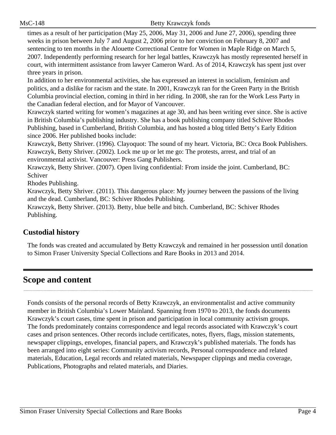times as a result of her participation (May 25, 2006, May 31, 2006 and June 27, 2006), spending three weeks in prison between July 7 and August 2, 2006 prior to her conviction on February 8, 2007 and sentencing to ten months in the Alouette Correctional Centre for Women in Maple Ridge on March 5, 2007. Independently performing research for her legal battles, Krawczyk has mostly represented herself in court, with intermittent assistance from lawyer Cameron Ward. As of 2014, Krawczyk has spent just over three years in prison.

In addition to her environmental activities, she has expressed an interest in socialism, feminism and politics, and a dislike for racism and the state. In 2001, Krawczyk ran for the Green Party in the British Columbia provincial election, coming in third in her riding. In 2008, she ran for the Work Less Party in the Canadian federal election, and for Mayor of Vancouver.

Krawczyk started writing for women's magazines at age 30, and has been writing ever since. She is active in British Columbia's publishing industry. She has a book publishing company titled Schiver Rhodes Publishing, based in Cumberland, British Columbia, and has hosted a blog titled Betty's Early Edition since 2006. Her published books include:

Krawczyk, Betty Shriver. (1996). Clayoquot: The sound of my heart. Victoria, BC: Orca Book Publishers. Krawczyk, Betty Shriver. (2002). Lock me up or let me go: The protests, arrest, and trial of an environmental activist. Vancouver: Press Gang Publishers.

Krawczyk, Betty Shriver. (2007). Open living confidential: From inside the joint. Cumberland, BC: Schiver

Rhodes Publishing.

Krawczyk, Betty Shriver. (2011). This dangerous place: My journey between the passions of the living and the dead. Cumberland, BC: Schiver Rhodes Publishing.

Krawczyk, Betty Shriver. (2013). Betty, blue belle and bitch. Cumberland, BC: Schiver Rhodes Publishing.

### **Custodial history**

The fonds was created and accumulated by Betty Krawczyk and remained in her possession until donation to Simon Fraser University Special Collections and Rare Books in 2013 and 2014.

### <span id="page-3-0"></span>**Scope and content**

Fonds consists of the personal records of Betty Krawczyk, an environmentalist and active community member in British Columbia's Lower Mainland. Spanning from 1970 to 2013, the fonds documents Krawczyk's court cases, time spent in prison and participation in local community activism groups. The fonds predominately contains correspondence and legal records associated with Krawczyk's court cases and prison sentences. Other records include certificates, notes, flyers, flags, mission statements, newspaper clippings, envelopes, financial papers, and Krawczyk's published materials. The fonds has been arranged into eight series: Community activism records, Personal correspondence and related materials, Education, Legal records and related materials, Newspaper clippings and media coverage, Publications, Photographs and related materials, and Diaries.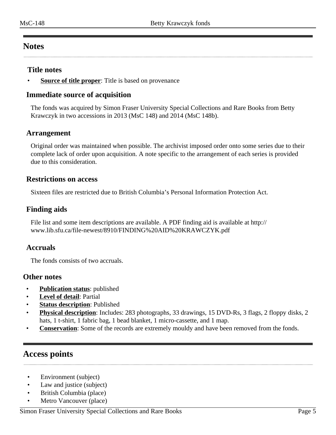### <span id="page-4-0"></span>**Notes**

### **Title notes**

**Source of title proper**: Title is based on provenance

### **Immediate source of acquisition**

The fonds was acquired by Simon Fraser University Special Collections and Rare Books from Betty Krawczyk in two accessions in 2013 (MsC 148) and 2014 (MsC 148b).

### **Arrangement**

Original order was maintained when possible. The archivist imposed order onto some series due to their complete lack of order upon acquisition. A note specific to the arrangement of each series is provided due to this consideration.

### **Restrictions on access**

Sixteen files are restricted due to British Columbia's Personal Information Protection Act.

### **Finding aids**

File list and some item descriptions are available. A PDF finding aid is available at http:// www.lib.sfu.ca/file-newest/8910/FINDING%20AID%20KRAWCZYK.pdf

### **Accruals**

The fonds consists of two accruals.

### **Other notes**

- **Publication status**: published
- **Level of detail**: Partial
- **Status description:** Published
- **Physical description**: Includes: 283 photographs, 33 drawings, 15 DVD-Rs, 3 flags, 2 floppy disks, 2 hats, 1 t-shirt, 1 fabric bag, 1 bead blanket, 1 micro-cassette, and 1 map.
- **Conservation**: Some of the records are extremely mouldy and have been removed from the fonds.

### <span id="page-4-1"></span>**Access points**

- Environment (subject)
- Law and justice (subject)
- British Columbia (place)
- Metro Vancouver (place)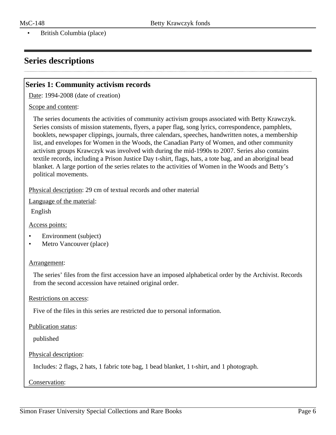• British Columbia (place)

### <span id="page-5-0"></span>**Series descriptions**

### <span id="page-5-1"></span>**Series 1: Community activism records**

Date: 1994-2008 (date of creation)

#### Scope and content:

The series documents the activities of community activism groups associated with Betty Krawczyk. Series consists of mission statements, flyers, a paper flag, song lyrics, correspondence, pamphlets, booklets, newspaper clippings, journals, three calendars, speeches, handwritten notes, a membership list, and envelopes for Women in the Woods, the Canadian Party of Women, and other community activism groups Krawczyk was involved with during the mid-1990s to 2007. Series also contains textile records, including a Prison Justice Day t-shirt, flags, hats, a tote bag, and an aboriginal bead blanket. A large portion of the series relates to the activities of Women in the Woods and Betty's political movements.

Physical description: 29 cm of textual records and other material

Language of the material:

English

Access points:

- Environment (subject)
- Metro Vancouver (place)

#### Arrangement:

The series' files from the first accession have an imposed alphabetical order by the Archivist. Records from the second accession have retained original order.

#### Restrictions on access:

Five of the files in this series are restricted due to personal information.

Publication status:

published

#### Physical description:

Includes: 2 flags, 2 hats, 1 fabric tote bag, 1 bead blanket, 1 t-shirt, and 1 photograph.

Conservation: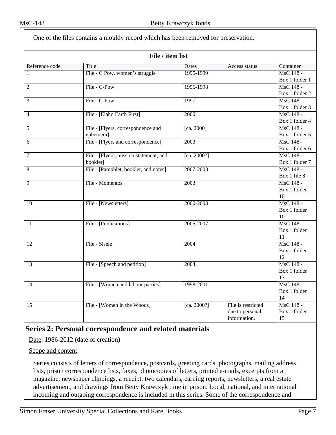| File / item list<br>Reference code<br>Title<br>Container<br>Dates<br>Access status<br>File - C Pow. women's struggle<br>1995-1999<br>MsC 148 -<br>1<br>Box 1 folder 1<br>File - C-Pow<br>$\overline{\text{MsC} 148}$ -<br>1996-1998<br>$\overline{2}$<br>Box 1 folder 2<br>File - C-Pow<br>MsC 148 -<br>3<br>1997<br>Box 1 folder 3<br>MsC 148 -<br>File - [Elaho Earth First]<br>2000<br>$\overline{4}$<br>Box 1 folder 4<br>MsC 148 -<br>5<br>File - [Flyers, correspondence and<br>[ca. 2000]<br>Box 1 folder 5<br>ephemera]<br>File - [Flyers and correspondence]<br>MsC 148 -<br>2003<br>6<br>Box 1 folder 6<br>File - [Flyers, mission statement, and<br>MsC 148 -<br>7<br>[ca. 2000?]<br>booklet]<br>Box 1 folder 7<br>File - [Pamphlet, booklet, and notes]<br>2007-2008<br>MsC 148 -<br>8<br>Box 1 file 8<br>File - Momentos<br>MsC 148 -<br>9<br>2003<br>Box 1 folder<br>10<br>MsC 148 -<br>File - [Newsletters]<br>2000-2003<br>10<br>Box 1 folder<br>10<br>MsC 148 -<br>File - [Publications]<br>2005-2007<br>11<br>Box 1 folder<br>11<br>File - Sisele<br>MsC 148 -<br>2004<br>12<br>Box 1 folder<br>12<br>MsC 148 -<br>File - [Speech and petition]<br>2004<br>13<br>Box 1 folder<br>13<br>File - [Women and labour parties]<br>MsC 148 -<br>1998-2001<br>14<br>Box 1 folder<br>14<br>File - [Women in the Woods]<br>MsC 148 -<br>[ca. 2000?]<br>File is restricted<br>15<br>due to personal<br>Box 1 folder<br>information.<br>15 | One of the files contains a mouldy record which has been removed for preservation. |  |  |  |  |  |  |
|--------------------------------------------------------------------------------------------------------------------------------------------------------------------------------------------------------------------------------------------------------------------------------------------------------------------------------------------------------------------------------------------------------------------------------------------------------------------------------------------------------------------------------------------------------------------------------------------------------------------------------------------------------------------------------------------------------------------------------------------------------------------------------------------------------------------------------------------------------------------------------------------------------------------------------------------------------------------------------------------------------------------------------------------------------------------------------------------------------------------------------------------------------------------------------------------------------------------------------------------------------------------------------------------------------------------------------------------------------------------------------------------------------------------------------------------------|------------------------------------------------------------------------------------|--|--|--|--|--|--|
|                                                                                                                                                                                                                                                                                                                                                                                                                                                                                                                                                                                                                                                                                                                                                                                                                                                                                                                                                                                                                                                                                                                                                                                                                                                                                                                                                                                                                                                  |                                                                                    |  |  |  |  |  |  |
|                                                                                                                                                                                                                                                                                                                                                                                                                                                                                                                                                                                                                                                                                                                                                                                                                                                                                                                                                                                                                                                                                                                                                                                                                                                                                                                                                                                                                                                  |                                                                                    |  |  |  |  |  |  |
|                                                                                                                                                                                                                                                                                                                                                                                                                                                                                                                                                                                                                                                                                                                                                                                                                                                                                                                                                                                                                                                                                                                                                                                                                                                                                                                                                                                                                                                  |                                                                                    |  |  |  |  |  |  |
|                                                                                                                                                                                                                                                                                                                                                                                                                                                                                                                                                                                                                                                                                                                                                                                                                                                                                                                                                                                                                                                                                                                                                                                                                                                                                                                                                                                                                                                  |                                                                                    |  |  |  |  |  |  |
|                                                                                                                                                                                                                                                                                                                                                                                                                                                                                                                                                                                                                                                                                                                                                                                                                                                                                                                                                                                                                                                                                                                                                                                                                                                                                                                                                                                                                                                  |                                                                                    |  |  |  |  |  |  |
|                                                                                                                                                                                                                                                                                                                                                                                                                                                                                                                                                                                                                                                                                                                                                                                                                                                                                                                                                                                                                                                                                                                                                                                                                                                                                                                                                                                                                                                  |                                                                                    |  |  |  |  |  |  |
|                                                                                                                                                                                                                                                                                                                                                                                                                                                                                                                                                                                                                                                                                                                                                                                                                                                                                                                                                                                                                                                                                                                                                                                                                                                                                                                                                                                                                                                  |                                                                                    |  |  |  |  |  |  |
|                                                                                                                                                                                                                                                                                                                                                                                                                                                                                                                                                                                                                                                                                                                                                                                                                                                                                                                                                                                                                                                                                                                                                                                                                                                                                                                                                                                                                                                  |                                                                                    |  |  |  |  |  |  |
|                                                                                                                                                                                                                                                                                                                                                                                                                                                                                                                                                                                                                                                                                                                                                                                                                                                                                                                                                                                                                                                                                                                                                                                                                                                                                                                                                                                                                                                  |                                                                                    |  |  |  |  |  |  |
|                                                                                                                                                                                                                                                                                                                                                                                                                                                                                                                                                                                                                                                                                                                                                                                                                                                                                                                                                                                                                                                                                                                                                                                                                                                                                                                                                                                                                                                  |                                                                                    |  |  |  |  |  |  |
|                                                                                                                                                                                                                                                                                                                                                                                                                                                                                                                                                                                                                                                                                                                                                                                                                                                                                                                                                                                                                                                                                                                                                                                                                                                                                                                                                                                                                                                  |                                                                                    |  |  |  |  |  |  |
|                                                                                                                                                                                                                                                                                                                                                                                                                                                                                                                                                                                                                                                                                                                                                                                                                                                                                                                                                                                                                                                                                                                                                                                                                                                                                                                                                                                                                                                  |                                                                                    |  |  |  |  |  |  |
|                                                                                                                                                                                                                                                                                                                                                                                                                                                                                                                                                                                                                                                                                                                                                                                                                                                                                                                                                                                                                                                                                                                                                                                                                                                                                                                                                                                                                                                  |                                                                                    |  |  |  |  |  |  |
|                                                                                                                                                                                                                                                                                                                                                                                                                                                                                                                                                                                                                                                                                                                                                                                                                                                                                                                                                                                                                                                                                                                                                                                                                                                                                                                                                                                                                                                  |                                                                                    |  |  |  |  |  |  |
|                                                                                                                                                                                                                                                                                                                                                                                                                                                                                                                                                                                                                                                                                                                                                                                                                                                                                                                                                                                                                                                                                                                                                                                                                                                                                                                                                                                                                                                  |                                                                                    |  |  |  |  |  |  |
|                                                                                                                                                                                                                                                                                                                                                                                                                                                                                                                                                                                                                                                                                                                                                                                                                                                                                                                                                                                                                                                                                                                                                                                                                                                                                                                                                                                                                                                  |                                                                                    |  |  |  |  |  |  |
|                                                                                                                                                                                                                                                                                                                                                                                                                                                                                                                                                                                                                                                                                                                                                                                                                                                                                                                                                                                                                                                                                                                                                                                                                                                                                                                                                                                                                                                  |                                                                                    |  |  |  |  |  |  |
|                                                                                                                                                                                                                                                                                                                                                                                                                                                                                                                                                                                                                                                                                                                                                                                                                                                                                                                                                                                                                                                                                                                                                                                                                                                                                                                                                                                                                                                  |                                                                                    |  |  |  |  |  |  |
|                                                                                                                                                                                                                                                                                                                                                                                                                                                                                                                                                                                                                                                                                                                                                                                                                                                                                                                                                                                                                                                                                                                                                                                                                                                                                                                                                                                                                                                  |                                                                                    |  |  |  |  |  |  |
|                                                                                                                                                                                                                                                                                                                                                                                                                                                                                                                                                                                                                                                                                                                                                                                                                                                                                                                                                                                                                                                                                                                                                                                                                                                                                                                                                                                                                                                  |                                                                                    |  |  |  |  |  |  |
|                                                                                                                                                                                                                                                                                                                                                                                                                                                                                                                                                                                                                                                                                                                                                                                                                                                                                                                                                                                                                                                                                                                                                                                                                                                                                                                                                                                                                                                  |                                                                                    |  |  |  |  |  |  |
|                                                                                                                                                                                                                                                                                                                                                                                                                                                                                                                                                                                                                                                                                                                                                                                                                                                                                                                                                                                                                                                                                                                                                                                                                                                                                                                                                                                                                                                  |                                                                                    |  |  |  |  |  |  |
|                                                                                                                                                                                                                                                                                                                                                                                                                                                                                                                                                                                                                                                                                                                                                                                                                                                                                                                                                                                                                                                                                                                                                                                                                                                                                                                                                                                                                                                  |                                                                                    |  |  |  |  |  |  |
|                                                                                                                                                                                                                                                                                                                                                                                                                                                                                                                                                                                                                                                                                                                                                                                                                                                                                                                                                                                                                                                                                                                                                                                                                                                                                                                                                                                                                                                  |                                                                                    |  |  |  |  |  |  |
|                                                                                                                                                                                                                                                                                                                                                                                                                                                                                                                                                                                                                                                                                                                                                                                                                                                                                                                                                                                                                                                                                                                                                                                                                                                                                                                                                                                                                                                  |                                                                                    |  |  |  |  |  |  |
|                                                                                                                                                                                                                                                                                                                                                                                                                                                                                                                                                                                                                                                                                                                                                                                                                                                                                                                                                                                                                                                                                                                                                                                                                                                                                                                                                                                                                                                  |                                                                                    |  |  |  |  |  |  |
|                                                                                                                                                                                                                                                                                                                                                                                                                                                                                                                                                                                                                                                                                                                                                                                                                                                                                                                                                                                                                                                                                                                                                                                                                                                                                                                                                                                                                                                  |                                                                                    |  |  |  |  |  |  |
|                                                                                                                                                                                                                                                                                                                                                                                                                                                                                                                                                                                                                                                                                                                                                                                                                                                                                                                                                                                                                                                                                                                                                                                                                                                                                                                                                                                                                                                  |                                                                                    |  |  |  |  |  |  |
|                                                                                                                                                                                                                                                                                                                                                                                                                                                                                                                                                                                                                                                                                                                                                                                                                                                                                                                                                                                                                                                                                                                                                                                                                                                                                                                                                                                                                                                  |                                                                                    |  |  |  |  |  |  |
|                                                                                                                                                                                                                                                                                                                                                                                                                                                                                                                                                                                                                                                                                                                                                                                                                                                                                                                                                                                                                                                                                                                                                                                                                                                                                                                                                                                                                                                  |                                                                                    |  |  |  |  |  |  |
|                                                                                                                                                                                                                                                                                                                                                                                                                                                                                                                                                                                                                                                                                                                                                                                                                                                                                                                                                                                                                                                                                                                                                                                                                                                                                                                                                                                                                                                  |                                                                                    |  |  |  |  |  |  |
|                                                                                                                                                                                                                                                                                                                                                                                                                                                                                                                                                                                                                                                                                                                                                                                                                                                                                                                                                                                                                                                                                                                                                                                                                                                                                                                                                                                                                                                  |                                                                                    |  |  |  |  |  |  |
|                                                                                                                                                                                                                                                                                                                                                                                                                                                                                                                                                                                                                                                                                                                                                                                                                                                                                                                                                                                                                                                                                                                                                                                                                                                                                                                                                                                                                                                  |                                                                                    |  |  |  |  |  |  |
|                                                                                                                                                                                                                                                                                                                                                                                                                                                                                                                                                                                                                                                                                                                                                                                                                                                                                                                                                                                                                                                                                                                                                                                                                                                                                                                                                                                                                                                  |                                                                                    |  |  |  |  |  |  |
|                                                                                                                                                                                                                                                                                                                                                                                                                                                                                                                                                                                                                                                                                                                                                                                                                                                                                                                                                                                                                                                                                                                                                                                                                                                                                                                                                                                                                                                  |                                                                                    |  |  |  |  |  |  |
|                                                                                                                                                                                                                                                                                                                                                                                                                                                                                                                                                                                                                                                                                                                                                                                                                                                                                                                                                                                                                                                                                                                                                                                                                                                                                                                                                                                                                                                  |                                                                                    |  |  |  |  |  |  |
|                                                                                                                                                                                                                                                                                                                                                                                                                                                                                                                                                                                                                                                                                                                                                                                                                                                                                                                                                                                                                                                                                                                                                                                                                                                                                                                                                                                                                                                  |                                                                                    |  |  |  |  |  |  |
|                                                                                                                                                                                                                                                                                                                                                                                                                                                                                                                                                                                                                                                                                                                                                                                                                                                                                                                                                                                                                                                                                                                                                                                                                                                                                                                                                                                                                                                  |                                                                                    |  |  |  |  |  |  |

### <span id="page-6-0"></span>**Series 2: Personal correspondence and related materials**

Date: 1986-2012 (date of creation)

Scope and content:

Series consists of letters of correspondence, postcards, greeting cards, photographs, mailing address lists, prison correspondence lists, faxes, photocopies of letters, printed e-mails, excerpts from a magazine, newspaper clippings, a receipt, two calendars, earning reports, newsletters, a real estate advertisement, and drawings from Betty Krawczyk time in prison. Local, national, and international incoming and outgoing correspondence is included in this series. Some of the correspondence and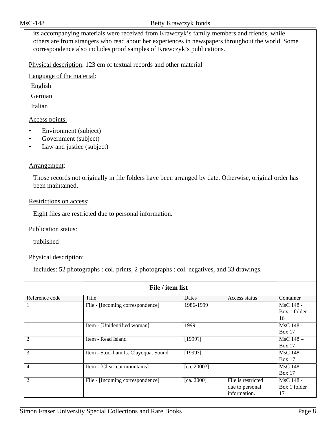its accompanying materials were received from Krawczyk's family members and friends, while others are from strangers who read about her experiences in newspapers throughout the world. Some correspondence also includes proof samples of Krawczyk's publications.

Physical description: 123 cm of textual records and other material

Language of the material:

English

German

Italian

### Access points:

- Environment (subject)
- Government (subject)
- Law and justice (subject)

#### Arrangement:

Those records not originally in file folders have been arranged by date. Otherwise, original order has been maintained.

#### Restrictions on access:

Eight files are restricted due to personal information.

Publication status:

published

Physical description:

Includes: 52 photographs : col. prints, 2 photographs : col. negatives, and 33 drawings.

| File / item list |                                     |             |                    |              |  |
|------------------|-------------------------------------|-------------|--------------------|--------------|--|
| Reference code   | Title                               | Dates       | Access status      | Container    |  |
|                  | File - [Incoming correspondence]    | 1986-1999   |                    | MsC 148 -    |  |
|                  |                                     |             |                    | Box 1 folder |  |
|                  |                                     |             |                    | 16           |  |
|                  | Item - [Unidentified woman]         | 1999        |                    | MsC 148 -    |  |
|                  |                                     |             |                    | Box 17       |  |
| $\overline{c}$   | Item - Read Island                  | [1999?]     |                    | MsC 148-     |  |
|                  |                                     |             |                    | Box 17       |  |
| 3                | Item - Stockham Is. Clayoquat Sound | [1999?]     |                    | MsC 148 -    |  |
|                  |                                     |             |                    | Box 17       |  |
| 4                | Item - [Clear-cut mountains]        | [ca. 2000?] |                    | MsC 148 -    |  |
|                  |                                     |             |                    | Box 17       |  |
| $\overline{c}$   | File - [Incoming correspondence]    | [ca. 2000]  | File is restricted | MsC 148 -    |  |
|                  |                                     |             | due to personal    | Box 1 folder |  |
|                  |                                     |             | information.       | 17           |  |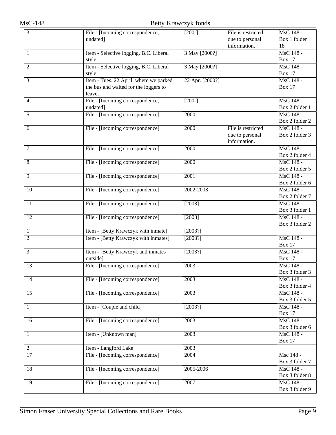| 3               | File - [Incoming correspondence,       | $[200-]$        | File is restricted | MsC 148 -      |
|-----------------|----------------------------------------|-----------------|--------------------|----------------|
|                 | undated]                               |                 | due to personal    | Box 1 folder   |
|                 |                                        |                 | information.       | 18             |
| 1               | Item - Selective logging, B.C. Liberal | 3 May [2000?]   |                    | MsC 148 -      |
|                 | style                                  |                 |                    | Box 17         |
| 2               | Item - Selective logging, B.C. Liberal | 3 May [2000?]   |                    | MsC 148 -      |
|                 | style                                  |                 |                    | <b>Box 17</b>  |
| 3               | Item - Tues. 22 April, where we parked | 22 Apr. [2000?] |                    | MsC 148 -      |
|                 | the bus and waited for the loggers to  |                 |                    | <b>Box 17</b>  |
|                 | leave                                  |                 |                    |                |
| 4               | File - [Incoming correspondence,       | $[200-]$        |                    | MsC 148 -      |
|                 | undated]                               |                 |                    | Box 2 folder 1 |
| 5               | File - [Incoming correspondence]       | 2000            |                    | MsC 148 -      |
|                 |                                        |                 |                    | Box 2 folder 2 |
| 6               | File - [Incoming correspondence]       | 2000            | File is restricted | MsC 148 -      |
|                 |                                        |                 | due to personal    | Box 2 folder 3 |
|                 |                                        |                 | information.       |                |
| 7               | File - [Incoming correspondence]       | 2000            |                    | MsC 148 -      |
|                 |                                        |                 |                    | Box 2 folder 4 |
| 8               | File - [Incoming correspondence]       | 2000            |                    | MsC 148 -      |
|                 |                                        |                 |                    | Box 2 folder 5 |
| 9               | File - [Incoming correspondence]       | 2001            |                    | MsC 148 -      |
|                 |                                        |                 |                    | Box 2 folder 6 |
| $\overline{10}$ | File - [Incoming correspondence]       | 2002-2003       |                    | MsC 148 -      |
|                 |                                        |                 |                    | Box 2 folder 7 |
| 11              | File - [Incoming correspondence]       | $[2003]$        |                    | MsC 148 -      |
|                 |                                        |                 |                    | Box 3 folder 1 |
| 12              | File - [Incoming correspondence]       | [2003]          |                    | MsC 148 -      |
|                 |                                        |                 |                    | Box 3 folder 2 |
| 1               | Item - [Betty Krawczyk with inmate]    | [2003?]         |                    |                |
| $\overline{c}$  | Item - [Betty Krawczyk with inmates]   | [2003?]         |                    | MsC 148 -      |
|                 |                                        |                 |                    | <b>Box 17</b>  |
| 3               | Item - [Betty Krawczyk and inmates     | $[2003?]$       |                    | MsC 148 -      |
|                 | outside]                               |                 |                    | <b>Box 17</b>  |
| $\overline{13}$ | File - [Incoming correspondence]       | 2003            |                    | MsC 148 -      |
|                 |                                        |                 |                    | Box 3 folder 3 |
| 14              | File - [Incoming correspondence]       | 2003            |                    | MsC 148 -      |
|                 |                                        |                 |                    | Box 3 folder 4 |
| 15              | File - [Incoming correspondence]       | 2003            |                    | MsC 148 -      |
|                 |                                        |                 |                    | Box 3 folder 5 |
| 1               | Item - [Couple and child]              | [2003?]         |                    | MsC 148 -      |
|                 |                                        |                 |                    | <b>Box 17</b>  |
| 16              | File - [Incoming correspondence]       | 2003            |                    | MsC 148 -      |
|                 |                                        |                 |                    | Box 3 folder 6 |
| 1               | Item - [Unknown man]                   | 2003            |                    | MsC 148 -      |
|                 |                                        |                 |                    | <b>Box 17</b>  |
| 2               | Item - Langford Lake                   | 2003            |                    |                |
| 17              | File - [Incoming correspondence]       | 2004            |                    | Msc 148 -      |
|                 |                                        |                 |                    | Box 3 folder 7 |
| 18              | File - [Incoming correspondence]       | 2005-2006       |                    | MsC 148 -      |
|                 |                                        |                 |                    | Box 3 folder 8 |
| $\overline{19}$ | File - [Incoming correspondence]       | 2007            |                    | MsC 148 -      |
|                 |                                        |                 |                    | Box 3 folder 9 |
|                 |                                        |                 |                    |                |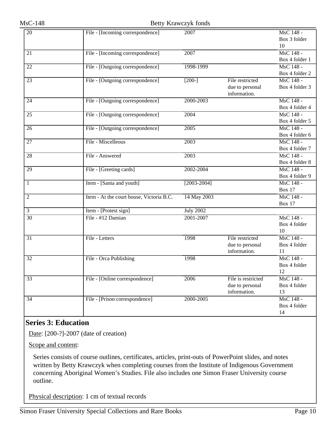| $\overline{20}$ | File - [Incoming correspondence]         | 2007             |                    | MsC 148 -      |
|-----------------|------------------------------------------|------------------|--------------------|----------------|
|                 |                                          |                  |                    | Box 3 folder   |
|                 |                                          |                  |                    | 10             |
| $\overline{21}$ | File - [Incoming correspondence]         | 2007             |                    | MsC 148 -      |
|                 |                                          |                  |                    | Box 4 folder 1 |
| $\overline{22}$ | File - [Outgoing correspondence]         | 1998-1999        |                    | MsC 148 -      |
|                 |                                          |                  |                    | Box 4 folder 2 |
| $\overline{23}$ | File - [Outgoing correspondence]         | $[200-]$         | File restricted    | MsC 148 -      |
|                 |                                          |                  | due to personal    | Box 4 folder 3 |
|                 |                                          |                  | information.       |                |
| 24              | File - [Outgoing correspondence]         | 2000-2003        |                    | MsC 148 -      |
|                 |                                          |                  |                    | Box 4 folder 4 |
| $\overline{25}$ | File - [Outgoing correspondence]         | 2004             |                    | MsC 148 -      |
|                 |                                          |                  |                    | Box 4 folder 5 |
| 26              | File - [Outgoing correspondence]         | 2005             |                    | MsC 148 -      |
|                 |                                          |                  |                    | Box 4 folder 6 |
| $\overline{27}$ | File - Miscelleous                       | 2003             |                    | MsC 148 -      |
|                 |                                          |                  |                    | Box 4 folder 7 |
| $\overline{28}$ | File - Answered                          | 2003             |                    | MsC 148 -      |
|                 |                                          |                  |                    | Box 4 folder 8 |
| 29              | File - [Greeting cards]                  | 2002-2004        |                    | MsC 148 -      |
|                 |                                          |                  |                    | Box 4 folder 9 |
| 1               | Item - [Santa and youth]                 | $[2003 - 2004]$  |                    | MsC 148 -      |
|                 |                                          |                  |                    | <b>Box 17</b>  |
| $\overline{2}$  | Item - At the court house, Victoria B.C. | 14 May 2003      |                    | MsC 148 -      |
|                 |                                          |                  |                    | <b>Box 17</b>  |
| 3               | Item - [Protest sign]                    | <b>July 2002</b> |                    |                |
| $\overline{30}$ | File - #12 Damian                        | 2001-2007        |                    | MsC 148 -      |
|                 |                                          |                  |                    | Box 4 folder   |
|                 |                                          |                  |                    | 10             |
| 31              | File - Letters                           | 1998             | File restricted    | MsC 148 -      |
|                 |                                          |                  | due to personal    | Box 4 folder   |
|                 |                                          |                  | information.       | 11             |
| 32              | File - Orca Publishing                   | 1998             |                    | MsC 148 -      |
|                 |                                          |                  |                    | Box 4 folder   |
|                 |                                          |                  |                    | 12             |
| $\overline{33}$ | File - [Online correspondence]           | 2006             | File is restricted | MsC 148 -      |
|                 |                                          |                  | due to personal    | Box 4 folder   |
|                 |                                          |                  | information.       | 13             |
| 34              | File - [Prison correspondence]           | 2000-2005        |                    | MsC 148 -      |
|                 |                                          |                  |                    | Box 4 folder   |
|                 |                                          |                  |                    | 14             |

### <span id="page-9-0"></span>**Series 3: Education**

Date: [200-?]-2007 (date of creation)

Scope and content:

Series consists of course outlines, certificates, articles, print-outs of PowerPoint slides, and notes written by Betty Krawczyk when completing courses from the Institute of Indigenous Government concerning Aboriginal Women's Studies. File also includes one Simon Fraser University course outline.

Physical description: 1 cm of textual records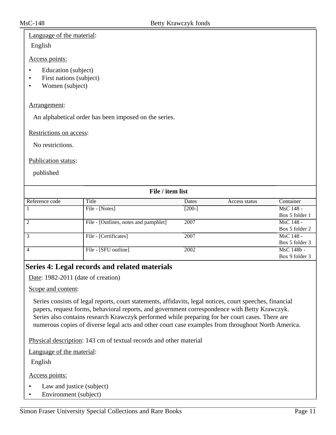### Language of the material:

English

### Access points:

- Education (subject)
- First nations (subject)
- Women (subject)

### Arrangement:

An alphabetical order has been imposed on the series.

Restrictions on access:

No restrictions.

Publication status:

published

| File / item list |                                       |          |               |                |  |  |
|------------------|---------------------------------------|----------|---------------|----------------|--|--|
| Reference code   | Title                                 | Dates    | Access status | Container      |  |  |
|                  | File - [Notes]                        | $[200-]$ |               | MsC 148 -      |  |  |
|                  |                                       |          |               | Box 5 folder 1 |  |  |
| 2                | File - [Outlines, notes and pamphlet] | 2007     |               | MsC 148 -      |  |  |
|                  |                                       |          |               | Box 5 folder 2 |  |  |
| $\mathcal{E}$    | File - [Certificates]                 | 2007     |               | MsC 148 -      |  |  |
|                  |                                       |          |               | Box 5 folder 3 |  |  |
| $\overline{4}$   | File - [SFU outline]                  | 2002     |               | MsC 148b -     |  |  |
|                  |                                       |          |               | Box 9 folder 3 |  |  |

### <span id="page-10-0"></span>**Series 4: Legal records and related materials**

Date: 1982-2011 (date of creation)

### Scope and content:

Series consists of legal reports, court statements, affidavits, legal notices, court speeches, financial papers, request forms, behavioral reports, and government correspondence with Betty Krawczyk. Series also contains research Krawczyk performed while preparing for her court cases. There are numerous copies of diverse legal acts and other court case examples from throughout North America.

Physical description: 143 cm of textual records and other material

Language of the material:

English

Access points:

- Law and justice (subject)
- Environment (subject)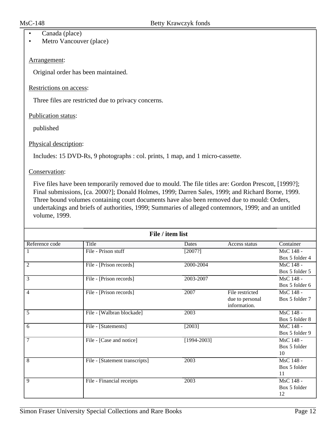- Canada (place)
- Metro Vancouver (place)

### Arrangement:

Original order has been maintained.

#### Restrictions on access:

Three files are restricted due to privacy concerns.

Publication status:

published

### Physical description:

Includes: 15 DVD-Rs, 9 photographs : col. prints, 1 map, and 1 micro-cassette.

Conservation:

Five files have been temporarily removed due to mould. The file titles are: Gordon Prescott, [1999?]; Final submissions, [ca. 2000?]; Donald Holmes, 1999; Darren Sales, 1999; and Richard Borne, 1999. Three bound volumes containing court documents have also been removed due to mould: Orders, undertakings and briefs of authorities, 1999; Summaries of alleged contemnors, 1999; and an untitled volume, 1999.

| File / item list |                                |                   |                 |                |  |
|------------------|--------------------------------|-------------------|-----------------|----------------|--|
| Reference code   | Title                          | Dates             | Access status   | Container      |  |
| 1                | File - Prison stuff            | [2007?]           |                 | MsC 148 -      |  |
|                  |                                |                   |                 | Box 5 folder 4 |  |
| 2                | File - [Prison records]        | 2000-2004         |                 | MsC 148 -      |  |
|                  |                                |                   |                 | Box 5 folder 5 |  |
| $\overline{3}$   | File - [Prison records]        | 2003-2007         |                 | MsC 148 -      |  |
|                  |                                |                   |                 | Box 5 folder 6 |  |
| 4                | File - [Prison records]        | 2007              | File restricted | MsC 148 -      |  |
|                  |                                |                   | due to personal | Box 5 folder 7 |  |
|                  |                                |                   | information.    |                |  |
| 5                | File - [Walbran blockade]      | 2003              |                 | MsC 148 -      |  |
|                  |                                |                   |                 | Box 5 folder 8 |  |
| 6                | File - [Statements]            | $[2003]$          |                 | MsC 148 -      |  |
|                  |                                |                   |                 | Box 5 folder 9 |  |
| 7                | File - [Case and notice]       | $[1994 - 2003]$   |                 | MsC 148 -      |  |
|                  |                                |                   |                 | Box 5 folder   |  |
|                  |                                |                   |                 | 10             |  |
| 8                | File - [Statement transcripts] | $\overline{2003}$ |                 | MsC 148 -      |  |
|                  |                                |                   |                 | Box 5 folder   |  |
|                  |                                |                   |                 | 11             |  |
| 9                | File - Financial receipts      | 2003              |                 | MsC 148 -      |  |
|                  |                                |                   |                 | Box 5 folder   |  |
|                  |                                |                   |                 | 12             |  |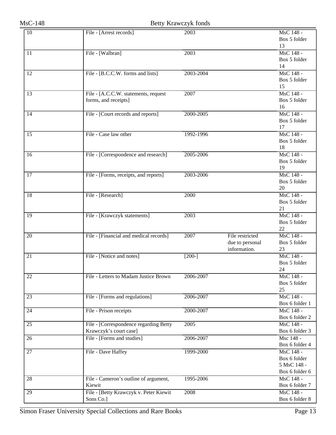| 10              | File - [Arrest records]                         | 2003      |                 | MsC 148 -      |
|-----------------|-------------------------------------------------|-----------|-----------------|----------------|
|                 |                                                 |           |                 | Box 5 folder   |
|                 |                                                 |           |                 | 13             |
| 11              | File - [Walbran]                                | 2003      |                 | MsC 148 -      |
|                 |                                                 |           |                 |                |
|                 |                                                 |           |                 | Box 5 folder   |
|                 |                                                 |           |                 | 14             |
| $\overline{12}$ | File - [B.C.C.W. forms and lists]               | 2003-2004 |                 | MsC 148 -      |
|                 |                                                 |           |                 | Box 5 folder   |
|                 |                                                 |           |                 | 15             |
| $\overline{13}$ | File - [A.C.C.W. statements, request            | 2007      |                 | MsC 148 -      |
|                 | forms, and receipts]                            |           |                 | Box 5 folder   |
|                 |                                                 |           |                 | 16             |
| $\overline{14}$ | File - [Court records and reports]              | 2000-2005 |                 | MsC 148 -      |
|                 |                                                 |           |                 | Box 5 folder   |
|                 |                                                 |           |                 | 17             |
| $\overline{15}$ | File - Case law other                           | 1992-1996 |                 | MsC 148 -      |
|                 |                                                 |           |                 | Box 5 folder   |
|                 |                                                 |           |                 | 18             |
| 16              | File - [Correspondence and research]            | 2005-2006 |                 | MsC 148 -      |
|                 |                                                 |           |                 | Box 5 folder   |
|                 |                                                 |           |                 | 19             |
| $\overline{17}$ | File - [Forms, receipts, and reports]           | 2003-2006 |                 | MsC 148 -      |
|                 |                                                 |           |                 |                |
|                 |                                                 |           |                 | Box 5 folder   |
|                 |                                                 |           |                 | 20             |
| $\overline{18}$ | File - [Research]                               | 2000      |                 | MsC 148 -      |
|                 |                                                 |           |                 | Box 5 folder   |
|                 |                                                 |           |                 | 21             |
| 19              | File - [Krawczyk statements]                    | 2003      |                 | MsC 148 -      |
|                 |                                                 |           |                 | Box 5 folder   |
|                 |                                                 |           |                 | 22             |
| $\overline{20}$ | File - [Financial and medical records]          | 2007      | File restricted | MsC 148 -      |
|                 |                                                 |           | due to personal | Box 5 folder   |
|                 |                                                 |           | information.    | 23             |
| 21              | File - [Notice and notes]                       | $[200-]$  |                 | MsC 148 -      |
|                 |                                                 |           |                 | Box 5 folder   |
|                 |                                                 |           |                 | 24             |
| 22              | File - Letters to Madam Justice Brown           | 2006-2007 |                 | MsC 148 -      |
|                 |                                                 |           |                 | Box 5 folder   |
|                 |                                                 |           |                 | 25             |
| 23              | File - [Forms and regulations]                  | 2006-2007 |                 | MsC 148 -      |
|                 |                                                 |           |                 | Box 6 folder 1 |
| $\overline{24}$ | File - Prison receipts                          | 2000-2007 |                 | MsC 148 -      |
|                 |                                                 |           |                 | Box 6 folder 2 |
| $\overline{25}$ | File - [Correspondence regarding Betty          | 2005      |                 | MsC 148 -      |
|                 | Krawczyk's court case]                          |           |                 | Box 6 folder 3 |
| $\overline{26}$ | File - [Forms and studies]                      | 2006-2007 |                 | Msc 148 -      |
|                 |                                                 |           |                 | Box 6 folder 4 |
| $\overline{27}$ | File - Dave Haffey                              | 1999-2000 |                 | MsC 148 -      |
|                 |                                                 |           |                 | Box 6 folder   |
|                 |                                                 |           |                 | 5 MsC 148 -    |
|                 |                                                 |           |                 | Box 6 folder 6 |
| 28              |                                                 | 1995-2006 |                 | MsC 148 -      |
|                 | File - Cameron's outline of argument,<br>Kiewit |           |                 |                |
|                 |                                                 |           |                 | Box 6 folder 7 |
| 29              | File - [Betty Krawczyk v. Peter Kiewit          | 2008      |                 | MsC 148 -      |
|                 | Sons Co.]                                       |           |                 | Box 6 folder 8 |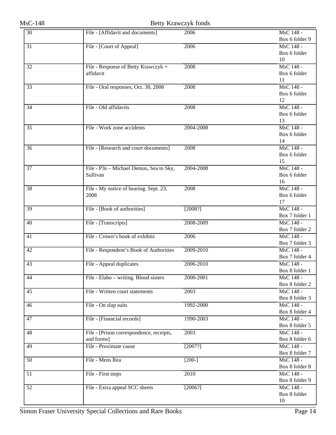| 30              | File - [Affidavit and documents]         | 2006      | MsC 148 -<br>Box 6 folder 9 |
|-----------------|------------------------------------------|-----------|-----------------------------|
| 31              | File - [Court of Appeal]                 | 2006      | MsC 148 -                   |
|                 |                                          |           | Box 6 folder                |
|                 |                                          |           | 10                          |
| $\overline{32}$ | File - Response of Betty Krawczyk +      | 2008      | MsC 148 -                   |
|                 | affidavit                                |           | Box 6 folder                |
|                 |                                          |           | 11                          |
| 33              | File - Oral responses, Oct. 30, 2008     | 2008      | MsC 148 -                   |
|                 |                                          |           | Box 6 folder                |
|                 |                                          |           | 12                          |
| $\overline{34}$ | File - Old affidavits                    | 2008      | MsC 148 -                   |
|                 |                                          |           | Box 6 folder                |
|                 |                                          |           | 13                          |
| $\overline{35}$ | File - Work zone accidents               | 2004-2008 | MsC 148 -                   |
|                 |                                          |           | Box 6 folder                |
|                 |                                          |           | 14                          |
| 36              | File - [Research and court documents]    | 2008      | MsC 148 -                   |
|                 |                                          |           | Box 6 folder                |
|                 |                                          |           | 15                          |
| $\overline{37}$ | File - P3s - Michael Demus, Sea to Sky,  | 2004-2008 | MsC 148 -                   |
|                 | Sullivan                                 |           | Box 6 folder                |
|                 |                                          |           | 16                          |
| 38              | File - My notice of hearing. Sept. 23,   | 2008      | MsC 148 -                   |
|                 | 2008                                     |           | Box 6 folder                |
|                 |                                          |           | 17                          |
| 39              | File - [Book of authorities]             | [2008?]   | MsC 148 -<br>Box 7 folder 1 |
| 40              | File - [Transcripts]                     | 2008-2009 | MsC 148 -                   |
|                 |                                          |           | Box 7 folder 2              |
| 41              | File - Crown's book of exhibits          | 2006      | MsC 148 -                   |
|                 |                                          |           | Box 7 folder 3              |
| 42              | File - Respondent's Book of Authorities  | 2009-2010 | MsC 148 -                   |
|                 |                                          |           | Box 7 folder 4              |
| $\overline{43}$ | File - Appeal duplicates                 | 2006-2010 | MsC 148 -                   |
|                 |                                          |           | Box 8 folder 1              |
| 44              | File - Elaho - writing. Blood sisters    | 2000-2001 | MsC 148 -                   |
|                 |                                          |           | Box 8 folder 2              |
| 45              | File - Written court statements          | 2003      | MsC 148 -                   |
|                 |                                          |           | Box 8 folder 3              |
| $\overline{46}$ | File - On slap suits                     | 1992-2000 | MsC 148 -                   |
|                 |                                          |           | Box 8 folder 4              |
| 47              | File - [Financial records]               | 1990-2003 | MsC 148 -                   |
|                 |                                          |           | Box 8 folder 5              |
| 48              | File - [Prison correspondence, receipts, | 2003      | MsC 148 -                   |
|                 | and forms]                               |           | Box 8 folder 6              |
| 49              | File - Proximate cause                   | [2007?]   | MsC 148 -                   |
|                 |                                          |           | Box 8 folder 7              |
| $\overline{50}$ | File - Mens Rea                          | $[200-]$  | MsC 148 -                   |
|                 |                                          |           | Box 8 folder 8              |
| 51              | File - First steps                       | 2010      | MsC 148 -                   |
|                 |                                          |           | Box 8 folder 9              |
| $\overline{52}$ | File - Extra appeal SCC sheets           | $[2006?]$ | MsC 148 -                   |
|                 |                                          |           | Box 8 folder                |
|                 |                                          |           | 10                          |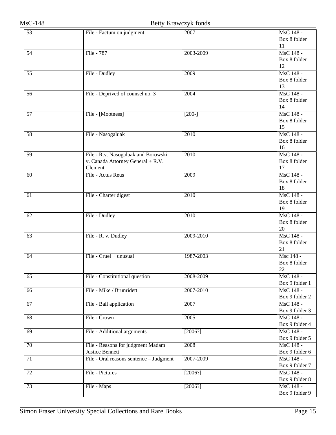| $\overline{53}$ | File - Factum on judgment               | 2007              | MsC 148 -      |
|-----------------|-----------------------------------------|-------------------|----------------|
|                 |                                         |                   | Box 8 folder   |
|                 |                                         |                   | 11             |
| $\overline{54}$ | File - 787                              | 2003-2009         | MsC 148 -      |
|                 |                                         |                   | Box 8 folder   |
|                 |                                         |                   | 12             |
| $\overline{55}$ | File - Dudley                           | 2009              | MsC 148 -      |
|                 |                                         |                   | Box 8 folder   |
|                 |                                         |                   | 13             |
| 56              | File - Deprived of counsel no. 3        | 2004              | MsC 148 -      |
|                 |                                         |                   | Box 8 folder   |
|                 |                                         |                   | 14             |
| $\overline{57}$ | File - [Mootness]                       | $[200-]$          | MsC 148 -      |
|                 |                                         |                   | Box 8 folder   |
|                 |                                         |                   | 15             |
| 58              | File - Nasogaluak                       | 2010              | MsC 148 -      |
|                 |                                         |                   | Box 8 folder   |
|                 |                                         |                   | 16             |
| 59              | File - R.v. Nasogaluak and Borowski     | 2010              | MsC 148 -      |
|                 | v. Canada Attorney General + R.V.       |                   | Box 8 folder   |
|                 | Clement                                 |                   | 17             |
| 60              | File - Actus Reus                       | 2009              | MsC 148 -      |
|                 |                                         |                   | Box 8 folder   |
|                 |                                         |                   | 18             |
| $\overline{61}$ | File - Charter digest                   | $\overline{2010}$ | MsC 148 -      |
|                 |                                         |                   | Box 8 folder   |
|                 |                                         |                   | 19             |
| 62              | File - Dudley                           | 2010              | MsC 148 -      |
|                 |                                         |                   | Box 8 folder   |
|                 |                                         |                   | 20             |
| $\overline{63}$ | File - R. v. Dudley                     | 2009-2010         | MsC 148 -      |
|                 |                                         |                   | Box 8 folder   |
|                 |                                         |                   | 21             |
| 64              | File - Cruel + unusual                  | 1987-2003         | Msc 148 -      |
|                 |                                         |                   | Box 8 folder   |
|                 |                                         |                   | 22             |
| 65              | File - Constitutional question          | 2008-2009         | MsC 148 -      |
|                 |                                         |                   | Box 9 folder 1 |
| 66              | File - Mike / Brunridett                | 2007-2010         | MsC 148 -      |
|                 |                                         |                   | Box 9 folder 2 |
| 67              | File - Bail application                 | 2007              | MsC 148 -      |
|                 |                                         |                   | Box 9 folder 3 |
| $\overline{68}$ | File - Crown                            | 2005              | MsC 148 -      |
|                 |                                         |                   | Box 9 folder 4 |
| 69              | File - Additional arguments             | [2006?]           | MsC 148 -      |
|                 |                                         |                   | Box 9 folder 5 |
| $\overline{70}$ | File - Reasons for judgment Madam       | 2008              | MsC 148 -      |
|                 | <b>Justice Bennett</b>                  |                   | Box 9 folder 6 |
| 71              | File - Oral reasons sentence - Judgment | 2007-2009         | MsC 148 -      |
|                 |                                         |                   | Box 9 folder 7 |
| $\overline{72}$ | File - Pictures                         | [2006?]           | MsC 148 -      |
|                 |                                         |                   | Box 9 folder 8 |
| 73              | File - Maps                             | $[2006?]$         | MsC 148 -      |
|                 |                                         |                   | Box 9 folder 9 |
|                 |                                         |                   |                |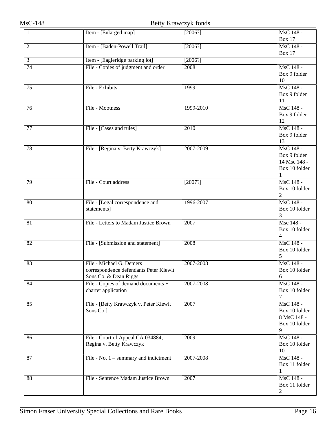| $\mathbf{1}$    | Item - [Enlarged map]                                      | [2006?]   | MsC 148 -                       |
|-----------------|------------------------------------------------------------|-----------|---------------------------------|
|                 |                                                            |           | <b>Box 17</b>                   |
| $\overline{2}$  | Item - [Baden-Powell Trail]                                | [2006?]   | MsC 148 -<br><b>Box 17</b>      |
| $\overline{3}$  | Item - [Eagleridge parking lot]                            | $[2006?]$ |                                 |
| $\overline{74}$ | File - Copies of judgment and order                        | 2008      | MsC 148 -                       |
|                 |                                                            |           | Box 9 folder                    |
|                 |                                                            |           | 10                              |
| $\overline{75}$ | File - Exhibits                                            | 1999      | MsC 148 -                       |
|                 |                                                            |           | Box 9 folder                    |
|                 |                                                            |           | 11                              |
| 76              | File - Mootness                                            | 1999-2010 | MsC 148 -                       |
|                 |                                                            |           | Box 9 folder                    |
|                 |                                                            |           | 12                              |
| 77              | File - [Cases and rules]                                   | 2010      | MsC 148 -                       |
|                 |                                                            |           | Box 9 folder                    |
|                 |                                                            |           | 13                              |
| 78              | File - [Regina v. Betty Krawczyk]                          | 2007-2009 | MsC 148 -                       |
|                 |                                                            |           | Box 9 folder                    |
|                 |                                                            |           | 14 Msc 148 -                    |
|                 |                                                            |           | Box 10 folder                   |
|                 |                                                            |           | $\mathbf{1}$                    |
| 79              | File - Court address                                       | $[2007?]$ | MsC 148 -                       |
|                 |                                                            |           | Box 10 folder<br>$\overline{2}$ |
| 80              | File - [Legal correspondence and                           | 1996-2007 | MsC 148 -                       |
|                 | statements]                                                |           | Box 10 folder                   |
|                 |                                                            |           | 3                               |
| $\overline{81}$ | File - Letters to Madam Justice Brown                      | 2007      | Msc 148 -                       |
|                 |                                                            |           | Box 10 folder                   |
|                 |                                                            |           | $\overline{4}$                  |
| 82              | File - [Submission and statement]                          | 2008      | MsC 148 -                       |
|                 |                                                            |           | Box 10 folder                   |
|                 |                                                            |           | 5                               |
| 83              | File - Michael G. Demers                                   | 2007-2008 | MsC 148 -                       |
|                 | correspondence defendants Peter Kiewit                     |           | Box 10 folder                   |
|                 | Sons Co. & Dean Riggs                                      |           | $6\,$                           |
| 84              | File - Copies of demand documents +<br>charter application | 2007-2008 | MsC 148 -<br>Box 10 folder      |
|                 |                                                            |           | 7                               |
| 85              | File - [Betty Krawczyk v. Peter Kiewit                     | 2007      | MsC 148 -                       |
|                 | Sons Co.]                                                  |           | Box 10 folder                   |
|                 |                                                            |           | 8 MsC 148 -                     |
|                 |                                                            |           | Box 10 folder                   |
|                 |                                                            |           | 9                               |
| 86              | File - Court of Appeal CA 034884;                          | 2009      | MsC 148 -                       |
|                 | Regina v. Betty Krawczyk                                   |           | Box 10 folder                   |
|                 |                                                            |           | 10                              |
| 87              | File - No. $1$ – summary and indictment                    | 2007-2008 | MsC 148 -                       |
|                 |                                                            |           | Box 11 folder                   |
|                 |                                                            |           | 1                               |
| 88              | File - Sentence Madam Justice Brown                        | 2007      | MsC 148 -                       |
|                 |                                                            |           | Box 11 folder                   |
|                 |                                                            |           | 2                               |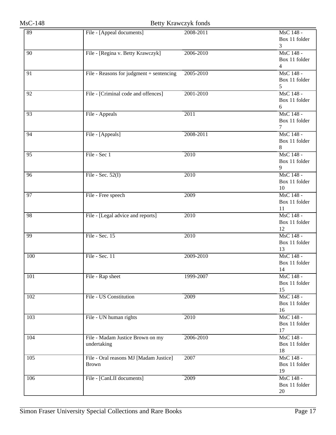| 89              | File - [Appeal documents]                | 2008-2011         | MsC 148 -           |
|-----------------|------------------------------------------|-------------------|---------------------|
|                 |                                          |                   | Box 11 folder       |
|                 |                                          |                   | 3                   |
| 90              | File - [Regina v. Betty Krawczyk]        | 2006-2010         | MsC 148 -           |
|                 |                                          |                   | Box 11 folder       |
|                 |                                          |                   | $\overline{4}$      |
| $\overline{91}$ | File - Reasons for judgment + sentencing | 2005-2010         | MsC 148 -           |
|                 |                                          |                   | Box 11 folder       |
|                 |                                          |                   | 5                   |
| $\overline{92}$ | File - [Criminal code and offences]      | 2001-2010         | MsC 148 -           |
|                 |                                          |                   | Box 11 folder       |
|                 |                                          |                   | 6                   |
| 93              | File - Appeals                           | 2011              | MsC 148 -           |
|                 |                                          |                   | Box 11 folder       |
|                 |                                          |                   | 7                   |
| 94              | File - [Appeals]                         | 2008-2011         | MsC 148 -           |
|                 |                                          |                   | Box 11 folder       |
|                 |                                          |                   | 8                   |
| $\overline{95}$ | File - Sec 1                             | 2010              | MsC 148 -           |
|                 |                                          |                   | Box 11 folder       |
|                 |                                          |                   | 9                   |
| $\overline{96}$ | File - Sec. $52(I)$                      | 2010              | MsC 148 -           |
|                 |                                          |                   | Box 11 folder       |
|                 |                                          |                   | 10                  |
| $\overline{97}$ | File - Free speech                       | 2009              | MsC 148 -           |
|                 |                                          |                   | Box 11 folder       |
|                 |                                          |                   | 11                  |
| 98              | File - [Legal advice and reports]        | 2010              | MsC 148 -           |
|                 |                                          |                   | Box 11 folder       |
|                 |                                          |                   | 12                  |
| 99              | File - Sec. 15                           | 2010              | MsC 148 -           |
|                 |                                          |                   | Box 11 folder<br>13 |
|                 | File - Sec. 11                           |                   | MsC 148 -           |
| 100             |                                          | 2009-2010         | Box 11 folder       |
|                 |                                          |                   | 14                  |
| 101             | File - Rap sheet                         | 1999-2007         | MsC 148 -           |
|                 |                                          |                   | Box 11 folder       |
|                 |                                          |                   | 15                  |
| 102             | File - US Constitution                   | 2009              | MsC 148 -           |
|                 |                                          |                   | Box 11 folder       |
|                 |                                          |                   | 16                  |
| 103             | File - UN human rights                   | $\overline{2010}$ | MsC 148 -           |
|                 |                                          |                   | Box 11 folder       |
|                 |                                          |                   | 17                  |
| 104             | File - Madam Justice Brown on my         | 2006-2010         | MsC 148 -           |
|                 | undertaking                              |                   | Box 11 folder       |
|                 |                                          |                   | 18                  |
| 105             | File - Oral reasons MJ [Madam Justice]   | 2007              | MsC 148 -           |
|                 | <b>Brown</b>                             |                   | Box 11 folder       |
|                 |                                          |                   | 19                  |
| 106             | File - [CanLII documents]                | 2009              | MsC 148 -           |
|                 |                                          |                   | Box 11 folder       |
|                 |                                          |                   | 20                  |
|                 |                                          |                   |                     |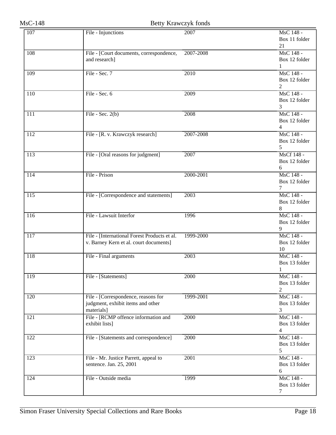| 107              | File - Injunctions                                                       | 2007      | MsC 148 -                  |
|------------------|--------------------------------------------------------------------------|-----------|----------------------------|
|                  |                                                                          |           | Box 11 folder              |
|                  |                                                                          |           | 21                         |
| 108              | File - [Court documents, correspondence,                                 | 2007-2008 | MsC 148 -                  |
|                  | and research]                                                            |           | Box 12 folder              |
|                  |                                                                          |           | 1                          |
| 109              | File - Sec. 7                                                            | 2010      | MsC 148 -                  |
|                  |                                                                          |           | Box 12 folder              |
|                  |                                                                          |           | $\overline{2}$             |
| 110              | File - Sec. 6                                                            | 2009      | MsC 148 -                  |
|                  |                                                                          |           | Box 12 folder              |
|                  |                                                                          |           | 3                          |
| $\overline{111}$ | File - Sec. $2(b)$                                                       | 2008      | MsC 148 -                  |
|                  |                                                                          |           | Box 12 folder              |
| 112              |                                                                          | 2007-2008 | 4<br>MsC 148 -             |
|                  | File - [R. v. Krawczyk research]                                         |           | Box 12 folder              |
|                  |                                                                          |           | 5                          |
| 113              | File - [Oral reasons for judgment]                                       | 2007      | MsCf 148 -                 |
|                  |                                                                          |           | Box 12 folder              |
|                  |                                                                          |           | 6                          |
| 114              | File - Prison                                                            | 2000-2001 | MsC 148 -                  |
|                  |                                                                          |           | Box 12 folder              |
|                  |                                                                          |           | 7                          |
| $\overline{115}$ | File - [Correspondence and statements]                                   | 2003      | MsC 148 -                  |
|                  |                                                                          |           | Box 12 folder              |
|                  |                                                                          |           | 8                          |
| 116              | File - Lawsuit Interfor                                                  | 1996      | MsC 148 -                  |
|                  |                                                                          |           | Box 12 folder              |
|                  |                                                                          |           | 9                          |
| 117              | File - [International Forest Products et al.                             | 1999-2000 | MsC 148 -                  |
|                  | v. Barney Kern et al. court documents]                                   |           | Box 12 folder              |
|                  |                                                                          |           | 10                         |
| 118              | File - Final arguments                                                   | 2003      | MsC 148 -                  |
|                  |                                                                          |           | Box 13 folder              |
|                  |                                                                          |           | 1                          |
| 119              | File - [Statements]                                                      | 2000      | MsC 148 -                  |
|                  |                                                                          |           | Box 13 folder              |
|                  |                                                                          |           | 2                          |
| 120              | File - [Correspondence, reasons for<br>judgment, exhibit items and other | 1999-2001 | MsC 148 -<br>Box 13 folder |
|                  | materials]                                                               |           | 3                          |
| 121              | File - [RCMP offence information and                                     | 2000      | MsC 148 -                  |
|                  | exhibit lists]                                                           |           | Box 13 folder              |
|                  |                                                                          |           | $\overline{4}$             |
| 122              | File - [Statements and correspondence]                                   | 2000      | MsC 148 -                  |
|                  |                                                                          |           | Box 13 folder              |
|                  |                                                                          |           | 5                          |
| $\overline{123}$ | File - Mr. Justice Parrett, appeal to                                    | 2001      | MsC 148 -                  |
|                  | sentence. Jan. 25, 2001                                                  |           | Box 13 folder              |
|                  |                                                                          |           | 6                          |
| 124              | File - Outside media                                                     | 1999      | MsC 148 -                  |
|                  |                                                                          |           | Box 13 folder              |
|                  |                                                                          |           | 7                          |
|                  |                                                                          |           |                            |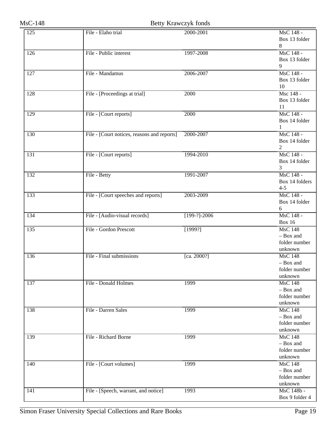| 125              | File - Elaho trial                          | 2000-2001           | MsC 148 -      |
|------------------|---------------------------------------------|---------------------|----------------|
|                  |                                             |                     | Box 13 folder  |
|                  |                                             |                     | 8              |
| $\overline{126}$ | File - Public interest                      | 1997-2008           | MsC 148 -      |
|                  |                                             |                     | Box 13 folder  |
|                  |                                             |                     | 9              |
|                  |                                             |                     |                |
| $\overline{127}$ | File - Mandamus                             | 2006-2007           | MsC 148 -      |
|                  |                                             |                     | Box 13 folder  |
|                  |                                             |                     | 10             |
| 128              | File - [Proceedings at trial]               | 2000                | Msc 148 -      |
|                  |                                             |                     | Box 13 folder  |
|                  |                                             |                     | 11             |
| 129              | File - [Court reports]                      | 2000                | MsC 148 -      |
|                  |                                             |                     | Box 14 folder  |
|                  |                                             |                     | $\mathbf{1}$   |
| 130              | File - [Court notices, reasons and reports] | 2000-2007           | MsC 148 -      |
|                  |                                             |                     | Box 14 folder  |
|                  |                                             |                     | $\mathbf{2}$   |
| 131              | File - [Court reports]                      | 1994-2010           | MsC 148 -      |
|                  |                                             |                     | Box 14 folder  |
|                  |                                             |                     | 3              |
| 132              | File - Betty                                | 1991-2007           | MsC 148 -      |
|                  |                                             |                     | Box 14 folders |
|                  |                                             |                     | $4 - 5$        |
| 133              |                                             |                     | MsC 148 -      |
|                  | File - [Court speeches and reports]         | 2003-2009           |                |
|                  |                                             |                     | Box 14 folder  |
|                  |                                             |                     | 6              |
| 134              | File - [Audio-visual records]               | $\sqrt{199-?}-2006$ | MsC 148 -      |
|                  |                                             |                     | <b>Box 16</b>  |
| 135              | File - Gordon Prescott                      | [1999?]             | <b>MsC 148</b> |
|                  |                                             |                     | - Box and      |
|                  |                                             |                     | folder number  |
|                  |                                             |                     | unknown        |
| 136              | File - Final submissions                    | [ca. 2000?]         | <b>MsC 148</b> |
|                  |                                             |                     | - Box and      |
|                  |                                             |                     | folder number  |
|                  |                                             |                     | unknown        |
| 137              | File - Donald Holmes                        | 1999                | <b>MsC 148</b> |
|                  |                                             |                     | - Box and      |
|                  |                                             |                     | folder number  |
|                  |                                             |                     | unknown        |
| 138              | File - Darren Sales                         | 1999                | <b>MsC 148</b> |
|                  |                                             |                     | - Box and      |
|                  |                                             |                     | folder number  |
|                  |                                             |                     | unknown        |
| 139              | File - Richard Borne                        | 1999                | <b>MsC 148</b> |
|                  |                                             |                     | - Box and      |
|                  |                                             |                     | folder number  |
|                  |                                             |                     |                |
|                  |                                             |                     | unknown        |
| 140              | File - [Court volumes]                      | 1999                | <b>MsC 148</b> |
|                  |                                             |                     | - Box and      |
|                  |                                             |                     | folder number  |
|                  |                                             |                     | unknown        |
| 141              | File - [Speech, warrant, and notice]        | 1993                | MsC 148b -     |
|                  |                                             |                     | Box 9 folder 4 |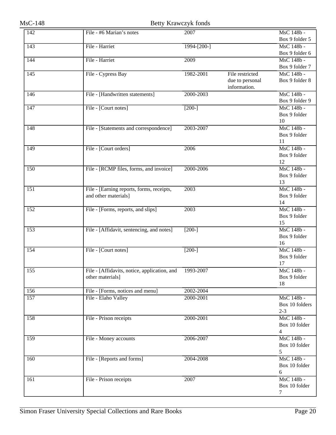| Box 9 folder 5<br>File - Harriet<br>143<br>$1994 - [200-]$<br>MsC 148b -<br>Box 9 folder 6<br>144<br>File - Harriet<br>2009<br>MsC 148b -<br>Box 9 folder 7<br>145<br>File - Cypress Bay<br>1982-2001<br>File restricted<br>MsC 148b -<br>due to personal<br>Box 9 folder 8<br>information.<br>MsC 148b -<br>146<br>File - [Handwritten statements]<br>2000-2003<br>Box 9 folder 9<br>File - [Court notes]<br>$[200-]$<br>MsC 148b -<br>147<br>Box 9 folder<br>10<br>MsC 148b -<br>File - [Statements and correspondence]<br>2003-2007<br>148<br>Box 9 folder<br>11<br>MsC 148b -<br>$\overline{149}$<br>File - [Court orders]<br>2006<br>Box 9 folder<br>12<br>MsC 148b -<br>2000-2006<br>$\overline{150}$<br>File - [RCMP files, forms, and invoice]<br>Box 9 folder<br>13<br>MsC 148b -<br>2003<br>151<br>File - [Earning reports, forms, receipts,<br>and other materials]<br>Box 9 folder<br>14<br>MsC 148b -<br>152<br>2003<br>File - [Forms, reports, and slips]<br>Box 9 folder<br>15<br>MsC 148b -<br>153<br>File - [Affidavit, sentencing, and notes]<br>$[200-]$<br>Box 9 folder | MsC 148b - |
|---------------------------------------------------------------------------------------------------------------------------------------------------------------------------------------------------------------------------------------------------------------------------------------------------------------------------------------------------------------------------------------------------------------------------------------------------------------------------------------------------------------------------------------------------------------------------------------------------------------------------------------------------------------------------------------------------------------------------------------------------------------------------------------------------------------------------------------------------------------------------------------------------------------------------------------------------------------------------------------------------------------------------------------------------------------------------------------------|------------|
|                                                                                                                                                                                                                                                                                                                                                                                                                                                                                                                                                                                                                                                                                                                                                                                                                                                                                                                                                                                                                                                                                             |            |
|                                                                                                                                                                                                                                                                                                                                                                                                                                                                                                                                                                                                                                                                                                                                                                                                                                                                                                                                                                                                                                                                                             |            |
|                                                                                                                                                                                                                                                                                                                                                                                                                                                                                                                                                                                                                                                                                                                                                                                                                                                                                                                                                                                                                                                                                             |            |
|                                                                                                                                                                                                                                                                                                                                                                                                                                                                                                                                                                                                                                                                                                                                                                                                                                                                                                                                                                                                                                                                                             |            |
|                                                                                                                                                                                                                                                                                                                                                                                                                                                                                                                                                                                                                                                                                                                                                                                                                                                                                                                                                                                                                                                                                             |            |
|                                                                                                                                                                                                                                                                                                                                                                                                                                                                                                                                                                                                                                                                                                                                                                                                                                                                                                                                                                                                                                                                                             |            |
|                                                                                                                                                                                                                                                                                                                                                                                                                                                                                                                                                                                                                                                                                                                                                                                                                                                                                                                                                                                                                                                                                             |            |
|                                                                                                                                                                                                                                                                                                                                                                                                                                                                                                                                                                                                                                                                                                                                                                                                                                                                                                                                                                                                                                                                                             |            |
|                                                                                                                                                                                                                                                                                                                                                                                                                                                                                                                                                                                                                                                                                                                                                                                                                                                                                                                                                                                                                                                                                             |            |
|                                                                                                                                                                                                                                                                                                                                                                                                                                                                                                                                                                                                                                                                                                                                                                                                                                                                                                                                                                                                                                                                                             |            |
|                                                                                                                                                                                                                                                                                                                                                                                                                                                                                                                                                                                                                                                                                                                                                                                                                                                                                                                                                                                                                                                                                             |            |
|                                                                                                                                                                                                                                                                                                                                                                                                                                                                                                                                                                                                                                                                                                                                                                                                                                                                                                                                                                                                                                                                                             |            |
|                                                                                                                                                                                                                                                                                                                                                                                                                                                                                                                                                                                                                                                                                                                                                                                                                                                                                                                                                                                                                                                                                             |            |
|                                                                                                                                                                                                                                                                                                                                                                                                                                                                                                                                                                                                                                                                                                                                                                                                                                                                                                                                                                                                                                                                                             |            |
|                                                                                                                                                                                                                                                                                                                                                                                                                                                                                                                                                                                                                                                                                                                                                                                                                                                                                                                                                                                                                                                                                             |            |
|                                                                                                                                                                                                                                                                                                                                                                                                                                                                                                                                                                                                                                                                                                                                                                                                                                                                                                                                                                                                                                                                                             |            |
|                                                                                                                                                                                                                                                                                                                                                                                                                                                                                                                                                                                                                                                                                                                                                                                                                                                                                                                                                                                                                                                                                             |            |
|                                                                                                                                                                                                                                                                                                                                                                                                                                                                                                                                                                                                                                                                                                                                                                                                                                                                                                                                                                                                                                                                                             |            |
|                                                                                                                                                                                                                                                                                                                                                                                                                                                                                                                                                                                                                                                                                                                                                                                                                                                                                                                                                                                                                                                                                             |            |
|                                                                                                                                                                                                                                                                                                                                                                                                                                                                                                                                                                                                                                                                                                                                                                                                                                                                                                                                                                                                                                                                                             |            |
|                                                                                                                                                                                                                                                                                                                                                                                                                                                                                                                                                                                                                                                                                                                                                                                                                                                                                                                                                                                                                                                                                             |            |
|                                                                                                                                                                                                                                                                                                                                                                                                                                                                                                                                                                                                                                                                                                                                                                                                                                                                                                                                                                                                                                                                                             |            |
|                                                                                                                                                                                                                                                                                                                                                                                                                                                                                                                                                                                                                                                                                                                                                                                                                                                                                                                                                                                                                                                                                             |            |
|                                                                                                                                                                                                                                                                                                                                                                                                                                                                                                                                                                                                                                                                                                                                                                                                                                                                                                                                                                                                                                                                                             |            |
|                                                                                                                                                                                                                                                                                                                                                                                                                                                                                                                                                                                                                                                                                                                                                                                                                                                                                                                                                                                                                                                                                             |            |
|                                                                                                                                                                                                                                                                                                                                                                                                                                                                                                                                                                                                                                                                                                                                                                                                                                                                                                                                                                                                                                                                                             |            |
|                                                                                                                                                                                                                                                                                                                                                                                                                                                                                                                                                                                                                                                                                                                                                                                                                                                                                                                                                                                                                                                                                             |            |
|                                                                                                                                                                                                                                                                                                                                                                                                                                                                                                                                                                                                                                                                                                                                                                                                                                                                                                                                                                                                                                                                                             |            |
| 16                                                                                                                                                                                                                                                                                                                                                                                                                                                                                                                                                                                                                                                                                                                                                                                                                                                                                                                                                                                                                                                                                          |            |
| MsC 148b -<br>154<br>File - [Court notes]<br>$[200-]$                                                                                                                                                                                                                                                                                                                                                                                                                                                                                                                                                                                                                                                                                                                                                                                                                                                                                                                                                                                                                                       |            |
| Box 9 folder                                                                                                                                                                                                                                                                                                                                                                                                                                                                                                                                                                                                                                                                                                                                                                                                                                                                                                                                                                                                                                                                                |            |
| 17                                                                                                                                                                                                                                                                                                                                                                                                                                                                                                                                                                                                                                                                                                                                                                                                                                                                                                                                                                                                                                                                                          |            |
| MsC 148b -<br>$\overline{155}$<br>File - [Affidavits, notice, application, and<br>1993-2007                                                                                                                                                                                                                                                                                                                                                                                                                                                                                                                                                                                                                                                                                                                                                                                                                                                                                                                                                                                                 |            |
| other materials]<br>Box 9 folder                                                                                                                                                                                                                                                                                                                                                                                                                                                                                                                                                                                                                                                                                                                                                                                                                                                                                                                                                                                                                                                            |            |
| 18                                                                                                                                                                                                                                                                                                                                                                                                                                                                                                                                                                                                                                                                                                                                                                                                                                                                                                                                                                                                                                                                                          |            |
| 2002-2004<br>156<br>File - [Forms, notices and menu]                                                                                                                                                                                                                                                                                                                                                                                                                                                                                                                                                                                                                                                                                                                                                                                                                                                                                                                                                                                                                                        |            |
| File - Elaho Valley<br>MsC 148b -<br>157<br>2000-2001                                                                                                                                                                                                                                                                                                                                                                                                                                                                                                                                                                                                                                                                                                                                                                                                                                                                                                                                                                                                                                       |            |
| Box 10 folders                                                                                                                                                                                                                                                                                                                                                                                                                                                                                                                                                                                                                                                                                                                                                                                                                                                                                                                                                                                                                                                                              |            |
| $2 - 3$                                                                                                                                                                                                                                                                                                                                                                                                                                                                                                                                                                                                                                                                                                                                                                                                                                                                                                                                                                                                                                                                                     |            |
| MsC 148b -<br>File - Prison receipts<br>2000-2001<br>158                                                                                                                                                                                                                                                                                                                                                                                                                                                                                                                                                                                                                                                                                                                                                                                                                                                                                                                                                                                                                                    |            |
| Box 10 folder<br>4                                                                                                                                                                                                                                                                                                                                                                                                                                                                                                                                                                                                                                                                                                                                                                                                                                                                                                                                                                                                                                                                          |            |
| MsC 148b -<br>159<br>File - Money accounts<br>2006-2007                                                                                                                                                                                                                                                                                                                                                                                                                                                                                                                                                                                                                                                                                                                                                                                                                                                                                                                                                                                                                                     |            |
| Box 10 folder                                                                                                                                                                                                                                                                                                                                                                                                                                                                                                                                                                                                                                                                                                                                                                                                                                                                                                                                                                                                                                                                               |            |
| 5                                                                                                                                                                                                                                                                                                                                                                                                                                                                                                                                                                                                                                                                                                                                                                                                                                                                                                                                                                                                                                                                                           |            |
| MsC 148b -<br>File - [Reports and forms]<br>2004-2008<br>160                                                                                                                                                                                                                                                                                                                                                                                                                                                                                                                                                                                                                                                                                                                                                                                                                                                                                                                                                                                                                                |            |
| Box 10 folder                                                                                                                                                                                                                                                                                                                                                                                                                                                                                                                                                                                                                                                                                                                                                                                                                                                                                                                                                                                                                                                                               |            |
| 6                                                                                                                                                                                                                                                                                                                                                                                                                                                                                                                                                                                                                                                                                                                                                                                                                                                                                                                                                                                                                                                                                           |            |
| MsC 148b -<br>$\overline{161}$<br>2007<br>File - Prison receipts                                                                                                                                                                                                                                                                                                                                                                                                                                                                                                                                                                                                                                                                                                                                                                                                                                                                                                                                                                                                                            |            |
| Box 10 folder                                                                                                                                                                                                                                                                                                                                                                                                                                                                                                                                                                                                                                                                                                                                                                                                                                                                                                                                                                                                                                                                               |            |
| 7                                                                                                                                                                                                                                                                                                                                                                                                                                                                                                                                                                                                                                                                                                                                                                                                                                                                                                                                                                                                                                                                                           |            |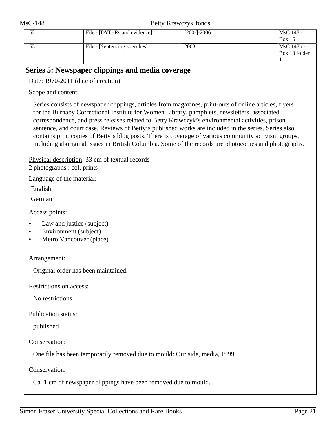| 162 | File - [DVD-Rs and evidence] | $[200 - ] - 2006$ | MsC 148 -     |
|-----|------------------------------|-------------------|---------------|
|     |                              |                   | <b>Box 16</b> |
| 163 | File - [Sentencing speeches] | 2003              | MsC 148b -    |
|     |                              |                   | Box 10 folder |
|     |                              |                   |               |

### <span id="page-20-0"></span>**Series 5: Newspaper clippings and media coverage**

Date: 1970-2011 (date of creation)

Scope and content:

Series consists of newspaper clippings, articles from magazines, print-outs of online articles, flyers for the Burnaby Correctional Institute for Women Library, pamphlets, newsletters, associated correspondence, and press releases related to Betty Krawczyk's environmental activities, prison sentence, and court case. Reviews of Betty's published works are included in the series. Series also contains print copies of Betty's blog posts. There is coverage of various community activism groups, including aboriginal issues in British Columbia. Some of the records are photocopies and photographs.

Physical description: 33 cm of textual records 2 photographs : col. prints

Language of the material:

English

German

Access points:

- Law and justice (subject)
- Environment (subject)
- Metro Vancouver (place)

Arrangement:

Original order has been maintained.

Restrictions on access:

No restrictions.

Publication status:

published

Conservation:

One file has been temporarily removed due to mould: Our side, media, 1999

Conservation:

Ca. 1 cm of newspaper clippings have been removed due to mould.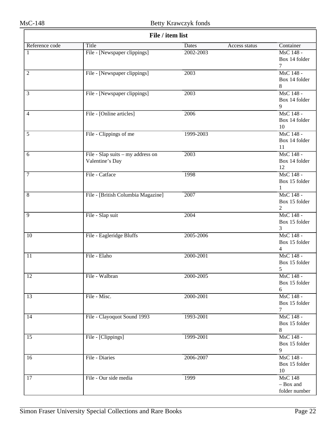| File / item list |                                                      |                        |                                              |  |
|------------------|------------------------------------------------------|------------------------|----------------------------------------------|--|
| Reference code   | Title                                                | Dates<br>Access status | Container                                    |  |
| 1                | File - [Newspaper clippings]                         | 2002-2003              | MsC 148 -<br>Box 14 folder<br>7              |  |
| $\overline{2}$   | File - [Newspaper clippings]                         | 2003                   | MsC 148 -<br>Box 14 folder<br>8              |  |
| $\overline{3}$   | File - [Newspaper clippings]                         | 2003                   | MsC 148 -<br>Box 14 folder<br>$\overline{9}$ |  |
| $\overline{4}$   | File - [Online articles]                             | 2006                   | MsC 148 -<br>Box 14 folder<br>10             |  |
| $\overline{5}$   | File - Clippings of me                               | 1999-2003              | MsC 148 -<br>Box 14 folder<br>11             |  |
| 6                | File - Slap suits - my address on<br>Valentine's Day | 2003                   | MsC 148 -<br>Box 14 folder<br>12             |  |
| 7                | File - Catface                                       | 1998                   | MsC 148 -<br>Box 15 folder<br>$\mathbf{1}$   |  |
| $\,8\,$          | File - [British Columbia Magazine]                   | 2007                   | MsC 148 -<br>Box 15 folder<br>$\mathbf{2}$   |  |
| $\overline{9}$   | File - Slap suit                                     | 2004                   | MsC 148 -<br>Box 15 folder<br>3              |  |
| 10               | File - Eagleridge Bluffs                             | 2005-2006              | MsC 148 -<br>Box 15 folder<br>$\overline{4}$ |  |
| 11               | File - Elaho                                         | 2000-2001              | MsC 148 -<br>Box 15 folder<br>5              |  |
| $\overline{12}$  | File - Walbran                                       | 2000-2005              | MsC 148 -<br>Box 15 folder<br>6              |  |
| $\overline{13}$  | File - Misc.                                         | 2000-2001              | MsC 148 -<br>Box 15 folder<br>$\tau$         |  |
| 14               | File - Clayoquot Sound 1993                          | 1993-2001              | MsC 148 -<br>Box 15 folder<br>8              |  |
| $\overline{15}$  | File - [Clippings]                                   | 1999-2001              | MsC 148 -<br>Box 15 folder<br>$\overline{9}$ |  |
| 16               | File - Diaries                                       | 2006-2007              | MsC 148 -<br>Box 15 folder<br>10             |  |
| 17               | File - Our side media                                | 1999                   | <b>MsC 148</b><br>- Box and<br>folder number |  |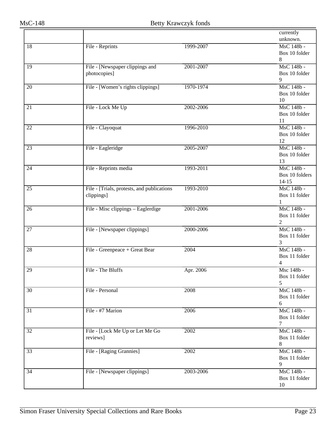|                 |                                            |           | currently<br>unknown. |
|-----------------|--------------------------------------------|-----------|-----------------------|
| 18              | File - Reprints                            | 1999-2007 | MsC 148b -            |
|                 |                                            |           | Box 10 folder         |
|                 |                                            |           | 8                     |
| $\overline{19}$ | File - [Newspaper clippings and            | 2001-2007 | MsC 148b -            |
|                 | photocopies]                               |           | Box 10 folder         |
|                 |                                            |           | 9                     |
| 20              | File - [Women's rights clippings]          | 1970-1974 | MsC 148b -            |
|                 |                                            |           | Box 10 folder         |
|                 |                                            |           | 10                    |
| 21              | File - Lock Me Up                          | 2002-2006 | MsC 148b -            |
|                 |                                            |           | Box 10 folder         |
|                 |                                            |           | 11                    |
| 22              | File - Clayoquat                           | 1996-2010 | MsC 148b -            |
|                 |                                            |           | Box 10 folder         |
|                 |                                            |           | 12                    |
| 23              | File - Eagleridge                          | 2005-2007 | MsC 148b -            |
|                 |                                            |           | Box 10 folder         |
|                 |                                            |           | 13                    |
| 24              | File - Reprints media                      | 1993-2011 | MsC 148b -            |
|                 |                                            |           | Box 10 folders        |
|                 |                                            |           | $14 - 15$             |
| 25              | File - [Trials, protests, and publications | 1993-2010 | MsC 148b -            |
|                 | clippings]                                 |           | Box 11 folder         |
|                 |                                            |           | 1                     |
| 26              | File - Misc clippings - Eaglerdige         | 2001-2006 | MsC 148b -            |
|                 |                                            |           | Box 11 folder         |
|                 |                                            |           | 2                     |
| $\overline{27}$ | File - [Newspaper clippings]               | 2000-2006 | MsC 148b -            |
|                 |                                            |           | Box 11 folder         |
|                 |                                            |           | 3                     |
| $\overline{28}$ | File - Greenpeace + Great Bear             | 2004      | MsC 148b -            |
|                 |                                            |           | Box 11 folder         |
|                 |                                            |           | 4                     |
| 29              | File - The Bluffs                          | Apr. 2006 | Msc 148b -            |
|                 |                                            |           | Box 11 folder         |
|                 |                                            |           | 5                     |
| 30              | File - Personal                            | 2008      | MsC 148b -            |
|                 |                                            |           | Box 11 folder         |
|                 |                                            |           | 6                     |
| 31              | File - #7 Marion                           | 2006      | MsC 148b -            |
|                 |                                            |           | Box 11 folder         |
|                 |                                            |           | 7<br>MsC 148b -       |
| 32              | File - [Lock Me Up or Let Me Go            | 2002      | Box 11 folder         |
|                 | reviews]                                   |           | 8                     |
| $\overline{33}$ | File - [Raging Grannies]                   | 2002      | MsC 148b -            |
|                 |                                            |           | Box 11 folder         |
|                 |                                            |           | 9                     |
| 34              | File - [Newspaper clippings]               | 2003-2006 | MsC 148b -            |
|                 |                                            |           | Box 11 folder         |
|                 |                                            |           | 10                    |
|                 |                                            |           |                       |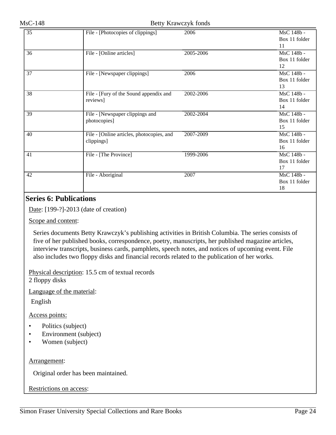| $\overline{35}$ | File - [Photocopies of clippings]         | 2006      | MsC 148b -    |
|-----------------|-------------------------------------------|-----------|---------------|
|                 |                                           |           | Box 11 folder |
|                 |                                           |           | 11            |
| 36              | File - [Online articles]                  | 2005-2006 | MsC 148b -    |
|                 |                                           |           | Box 11 folder |
|                 |                                           |           | 12            |
| 37              | File - [Newspaper clippings]              | 2006      | MsC 148b -    |
|                 |                                           |           | Box 11 folder |
|                 |                                           |           | 13            |
| 38              | File - [Fury of the Sound appendix and    | 2002-2006 | MsC 148b -    |
|                 | reviews]                                  |           | Box 11 folder |
|                 |                                           |           | 14            |
| 39              | File - [Newspaper clippings and           | 2002-2004 | MsC 148b -    |
|                 | photocopies]                              |           | Box 11 folder |
|                 |                                           |           | 15            |
| 40              | File - [Online articles, photocopies, and | 2007-2009 | MsC 148b -    |
|                 | clippings]                                |           | Box 11 folder |
|                 |                                           |           | 16            |
| 41              | File - [The Province]                     | 1999-2006 | MsC 148b -    |
|                 |                                           |           | Box 11 folder |
|                 |                                           |           | 17            |
| 42              | File - Aboriginal                         | 2007      | MsC 148b -    |
|                 |                                           |           | Box 11 folder |
|                 |                                           |           | 18            |

### <span id="page-23-0"></span>**Series 6: Publications**

Date: [199-?]-2013 (date of creation)

Scope and content:

Series documents Betty Krawczyk's publishing activities in British Columbia. The series consists of five of her published books, correspondence, poetry, manuscripts, her published magazine articles, interview transcripts, business cards, pamphlets, speech notes, and notices of upcoming event. File also includes two floppy disks and financial records related to the publication of her works.

Physical description: 15.5 cm of textual records 2 floppy disks

Language of the material:

English

Access points:

- Politics (subject)
- Environment (subject)
- Women (subject)

#### Arrangement:

Original order has been maintained.

Restrictions on access: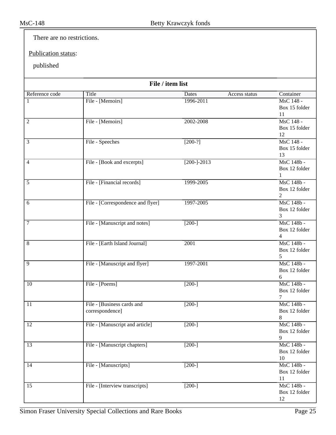There are no restrictions.

Publication status:

### published

| File / item list |                                   |                 |               |                              |  |
|------------------|-----------------------------------|-----------------|---------------|------------------------------|--|
| Reference code   | Title                             | Dates           | Access status | Container                    |  |
| 1                | File - [Memoirs]                  | 1996-2011       |               | MsC 148 -                    |  |
|                  |                                   |                 |               | Box 15 folder                |  |
|                  |                                   |                 |               | 11                           |  |
| $\overline{2}$   | File - [Memoirs]                  | 2002-2008       |               | MsC 148 -<br>Box 15 folder   |  |
|                  |                                   |                 |               | 12                           |  |
| 3                | File - Speeches                   | $[200-?]$       |               | MsC 148 -                    |  |
|                  |                                   |                 |               | Box 15 folder                |  |
|                  |                                   |                 |               | 13                           |  |
| 4                | File - [Book and excerpts]        | $[200 - ]-2013$ |               | MsC 148b -                   |  |
|                  |                                   |                 |               | Box 12 folder                |  |
|                  | File - [Financial records]        | 1999-2005       |               | 1<br>MsC 148b -              |  |
| 5                |                                   |                 |               | Box 12 folder                |  |
|                  |                                   |                 |               | 2                            |  |
| 6                | File - [Correspondence and flyer] | 1997-2005       |               | MsC 148b -                   |  |
|                  |                                   |                 |               | Box 12 folder                |  |
|                  |                                   |                 |               | 3                            |  |
| 7                | File - [Manuscript and notes]     | $[200-]$        |               | MsC 148b -                   |  |
|                  |                                   |                 |               | Box 12 folder                |  |
| 8                | File - [Earth Island Journal]     | 2001            |               | $\overline{4}$<br>MsC 148b - |  |
|                  |                                   |                 |               | Box 12 folder                |  |
|                  |                                   |                 |               | 5                            |  |
| $\overline{9}$   | File - [Manuscript and flyer]     | 1997-2001       |               | MsC 148b -                   |  |
|                  |                                   |                 |               | Box 12 folder                |  |
|                  |                                   |                 |               | 6                            |  |
| 10               | File - [Poems]                    | $[200-]$        |               | MsC 148b -<br>Box 12 folder  |  |
|                  |                                   |                 |               | 7                            |  |
| 11               | File - [Business cards and        | $[200-]$        |               | MsC 148b -                   |  |
|                  | correspondence]                   |                 |               | Box 12 folder                |  |
|                  |                                   |                 |               | 8                            |  |
| $\overline{12}$  | File - [Manuscript and article]   | $[200-]$        |               | MsC 148b -                   |  |
|                  |                                   |                 |               | Box 12 folder                |  |
| $\overline{13}$  |                                   | $[200-]$        |               | 9                            |  |
|                  | File - [Manuscript chapters]      |                 |               | MsC 148b -<br>Box 12 folder  |  |
|                  |                                   |                 |               | 10                           |  |
| $\overline{14}$  | File - [Manuscripts]              | $[200-]$        |               | MsC 148b -                   |  |
|                  |                                   |                 |               | Box 12 folder                |  |
|                  |                                   |                 |               | 11                           |  |
| 15               | File - [Interview transcripts]    | $[200-]$        |               | MsC 148b -                   |  |
|                  |                                   |                 |               | Box 12 folder                |  |
|                  |                                   |                 |               | 12                           |  |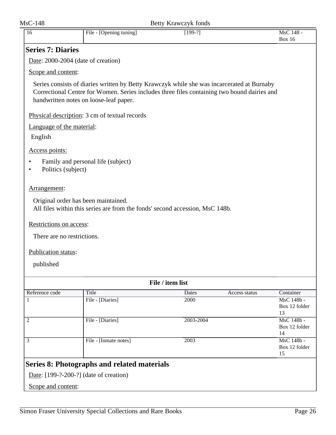<span id="page-25-1"></span><span id="page-25-0"></span>

| $MsC-148$                                                      |                                                                                                                                                                                                                                     | Betty Krawczyk fonds |               |                                   |
|----------------------------------------------------------------|-------------------------------------------------------------------------------------------------------------------------------------------------------------------------------------------------------------------------------------|----------------------|---------------|-----------------------------------|
| 16                                                             | File - [Opening tuning]                                                                                                                                                                                                             | $[199-?]$            |               | MsC 148 -<br><b>Box 16</b>        |
| <b>Series 7: Diaries</b>                                       |                                                                                                                                                                                                                                     |                      |               |                                   |
| Date: 2000-2004 (date of creation)                             |                                                                                                                                                                                                                                     |                      |               |                                   |
| Scope and content:                                             |                                                                                                                                                                                                                                     |                      |               |                                   |
|                                                                | Series consists of diaries written by Betty Krawczyk while she was incarcerated at Burnaby<br>Correctional Centre for Women. Series includes three files containing two bound dairies and<br>handwritten notes on loose-leaf paper. |                      |               |                                   |
|                                                                | Physical description: 3 cm of textual records                                                                                                                                                                                       |                      |               |                                   |
| Language of the material:                                      |                                                                                                                                                                                                                                     |                      |               |                                   |
| English                                                        |                                                                                                                                                                                                                                     |                      |               |                                   |
| Access points:                                                 |                                                                                                                                                                                                                                     |                      |               |                                   |
| $\bullet$<br>Politics (subject)<br>$\bullet$                   | Family and personal life (subject)                                                                                                                                                                                                  |                      |               |                                   |
| Arrangement:                                                   |                                                                                                                                                                                                                                     |                      |               |                                   |
| Original order has been maintained.<br>Restrictions on access: | All files within this series are from the fonds' second accession, MsC 148b.                                                                                                                                                        |                      |               |                                   |
| There are no restrictions.                                     |                                                                                                                                                                                                                                     |                      |               |                                   |
| Publication status:                                            |                                                                                                                                                                                                                                     |                      |               |                                   |
| published                                                      |                                                                                                                                                                                                                                     |                      |               |                                   |
|                                                                |                                                                                                                                                                                                                                     | File / item list     |               |                                   |
| Reference code                                                 | Title                                                                                                                                                                                                                               | Dates                | Access status | Container                         |
| 1                                                              | File - [Diaries]                                                                                                                                                                                                                    | 2000                 |               | MsC 148b -<br>Box 12 folder<br>13 |
| $\mathfrak{2}$                                                 | File - [Diaries]                                                                                                                                                                                                                    | 2003-2004            |               | MsC 148b -<br>Box 12 folder<br>14 |
| 3                                                              | File - [Inmate notes]                                                                                                                                                                                                               | 2003                 |               | MsC 148b -<br>Box 12 folder<br>15 |
|                                                                | Series 8: Photographs and related materials                                                                                                                                                                                         |                      |               |                                   |
| Date: $[199-?-200-?]$ (date of creation)                       |                                                                                                                                                                                                                                     |                      |               |                                   |
| Scope and content:                                             |                                                                                                                                                                                                                                     |                      |               |                                   |
|                                                                |                                                                                                                                                                                                                                     |                      |               |                                   |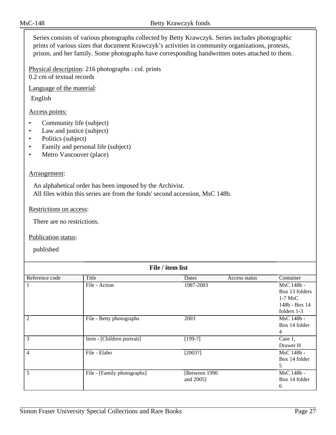Series consists of various photographs collected by Betty Krawczyk. Series includes photographic prints of various sizes that document Krawczyk's activities in community organizations, protests, prison, and her family. Some photographs have corresponding handwritten notes attached to them.

Physical description: 216 photographs : col. prints 0.2 cm of textual records

Language of the material:

English

Access points:

- Community life (subject)
- Law and justice (subject)
- Politics (subject)
- Family and personal life (subject)
- Metro Vancouver (place)

#### Arrangement:

An alphabetical order has been imposed by the Archivist. All files within this series are from the fonds' second accession, MsC 148b.

#### Restrictions on access:

There are no restrictions.

Publication status:

published

| File / item list |                             |               |               |                 |  |
|------------------|-----------------------------|---------------|---------------|-----------------|--|
| Reference code   | Title                       | Dates         | Access status | Container       |  |
|                  | File - Action               | 1987-2003     |               | MsC 148b -      |  |
|                  |                             |               |               | Box 13 folders  |  |
|                  |                             |               |               | $1-7$ MsC       |  |
|                  |                             |               |               | $148b - Box 14$ |  |
|                  |                             |               |               | folders $1-3$   |  |
| 2                | File - Betty photographs    | 2003          |               | MsC 148b -      |  |
|                  |                             |               |               | Box 14 folder   |  |
|                  |                             |               |               | 4               |  |
| 3                | Item - [Children portrait]  | $[199-?]$     |               | Case 1,         |  |
|                  |                             |               |               | Drawer H        |  |
| 4                | File - Elaho                | [2003?]       |               | MsC 148b -      |  |
|                  |                             |               |               | Box 14 folder   |  |
|                  |                             |               |               | 5               |  |
| 5                | File - [Family photographs] | [Between 1990 |               | MsC 148b -      |  |
|                  |                             | and 2005]     |               | Box 14 folder   |  |
|                  |                             |               |               | 6               |  |